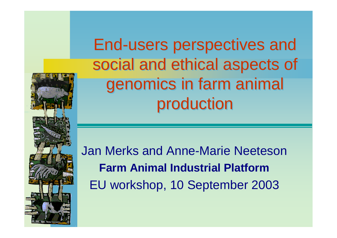

End-users perspectives and End-users perspectives and social and ethical aspects of social and ethical aspects of genomics in farm animal genomics in farm animal production production

Jan Merks and Anne-Marie Neeteson **Farm Animal Industrial Platform** EU workshop, 10 September 2003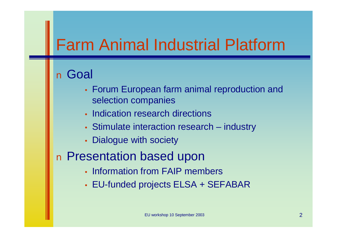## Farm Animal Industrial Platform

#### n Goal

- Forum European farm animal reproduction and selection companies
- Indication research directions
- Stimulate interaction research industry
- Dialogue with society

#### n Presentation based upon

- Information from FAIP members
- EU-funded projects ELSA + SEFABAR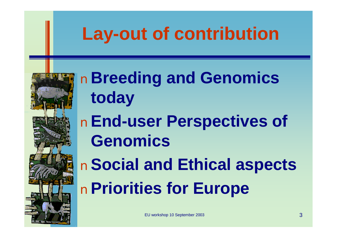## **Lay-out of contribution**



n**Breeding and Genomics today**

n**End-user Perspectives of Genomics**

n**Social and Ethical aspects** n**Priorities for Europe**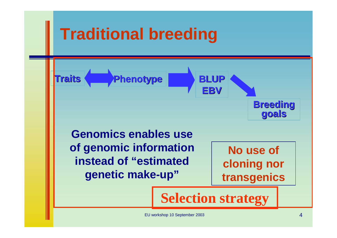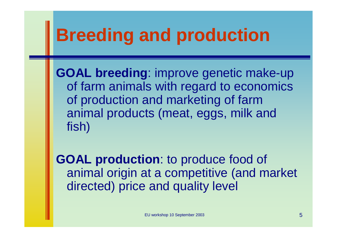## **Breeding and production**

**GOAL breeding**: improve genetic make-up of farm animals with regard to economics of production and marketing of farm animal products (meat, eggs, milk and fish)

**GOAL production**: to produce food of animal origin at a competitive (and market directed) price and quality level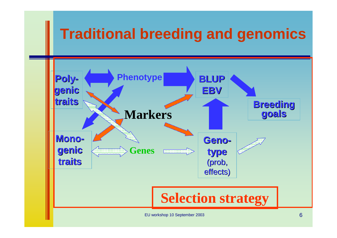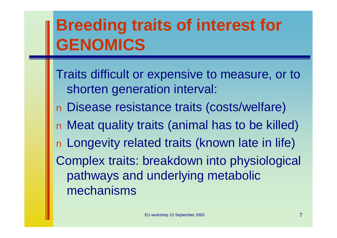## **Breeding traits of interest for GENOMICS**

Traits difficult or expensive to measure, or to shorten generation interval: n Disease resistance traits (costs/welfare) n Meat quality traits (animal has to be killed) n Longevity related traits (known late in life) Complex traits: breakdown into physiological pathways and underlying metabolic mechanisms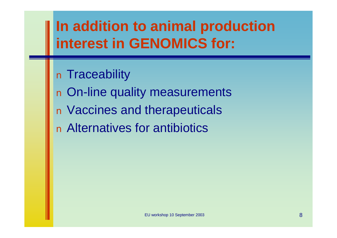## **In addition to animal production interest in GENOMICS for:**

n Traceability n On-line quality measurements n Vaccines and therapeuticals n Alternatives for antibiotics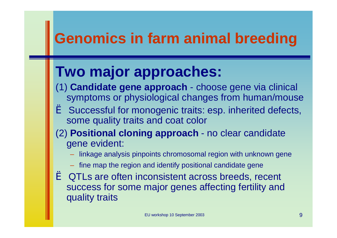### **Genomics in farm animal breeding**

## **Two major approaches:**

- (1) **Candidate gene approach** choose gene via clinical symptoms or physiological changes from human/mouse
- è Successful for monogenic traits: esp. inherited defects, some quality traits and coat color
- (2) **Positional cloning approach** no clear candidate gene evident:
	- linkage analysis pinpoints chromosomal region with unknown gene
	- fine map the region and identify positional candidate gene
- è QTLs are often inconsistent across breeds, recent success for some major genes affecting fertility and quality traits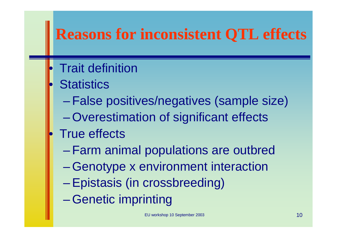## **Reasons for inconsistent QTL effects**

- **Trait definition**
- **Statistics** 
	- False positives/negatives (sample size)
	- Overestimation of significant effects
- **True effects** 
	- Farm animal populations are outbred
	- Genotype x environment interaction
	- Epistasis (in crossbreeding)
	- Genetic imprinting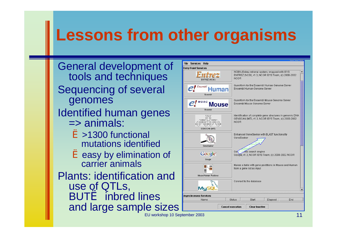## **Lessons from other organisms**

General development of tools and techniques Sequencing of several genomes Identified human genes => animals: è>1300 functional mutations identified è easy by elimination of carrier animals Plants: identification and use of QTLs, **BUTè** inbred lines and large sample sizes



EU workshop 10 September 2003 11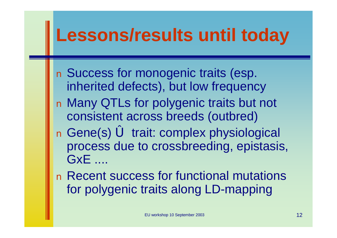## **Lessons/results until today**

n Success for monogenic traits (esp. inherited defects), but low frequency n Many QTLs for polygenic traits but not consistent across breeds (outbred) n Gene(s) ó trait: complex physiological process due to crossbreeding, epistasis, GxE ....

n Recent success for functional mutations for polygenic traits along LD-mapping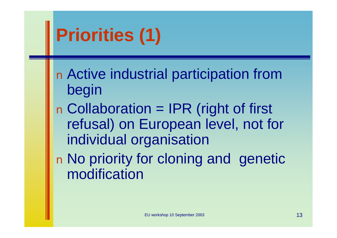# **Priorities (1)**

n Active industrial participation from begin

n Collaboration = IPR (right of first refusal) on European level, not for individual organisation

n No priority for cloning and genetic modification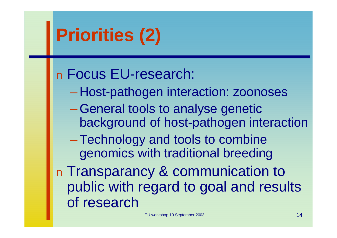# **Priorities (2)**

### n Focus EU-research:

- Host-pathogen interaction: zoonoses
- –General tools to analyse genetic background of host-pathogen interaction

–Technology and tools to combine genomics with traditional breeding

n Transparancy & communication to public with regard to goal and results of research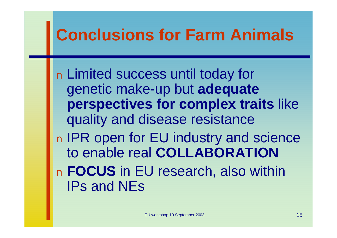## **Conclusions for Farm Animals**

n Limited success until today for genetic make-up but **adequate perspectives for complex traits** like quality and disease resistance n IPR open for EU industry and science to enable real **COLLABORATION** n **FOCUS** in EU research, also within IPs and NEs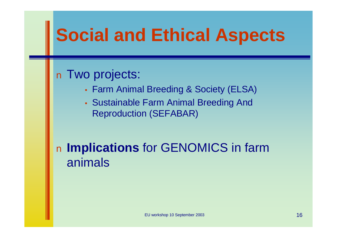## **Social and Ethical Aspects**

#### n Two projects:

- Farm Animal Breeding & Society (ELSA)
- Sustainable Farm Animal Breeding And Reproduction (SEFABAR)

#### n **Implications** for GENOMICS in farm animals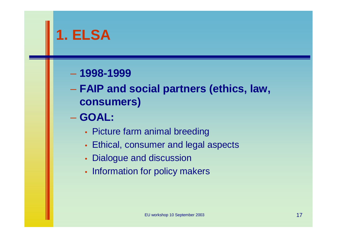## **1. ELSA**

#### – **1998-1999**

– **FAIP and social partners (ethics, law, consumers)**

– **GOAL:**

- Picture farm animal breeding
- Ethical, consumer and legal aspects
- Dialogue and discussion
- Information for policy makers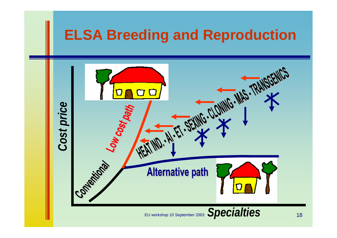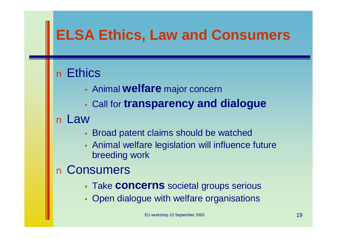### **ELSA Ethics, Law and Consumers**

#### n Ethics

- Animal **welfare** major concern
- Call for **transparency and dialogue**

#### n Law

- Broad patent claims should be watched
- Animal welfare legislation will influence future breeding work

#### n Consumers

- Take **concerns** societal groups serious
- Open dialogue with welfare organisations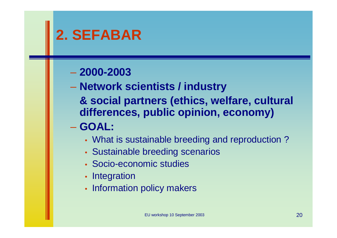### **2. SEFABAR**

#### – **2000-2003**

- **Network scientists / industry**
	- **& social partners (ethics, welfare, cultural differences, public opinion, economy)**

#### – **GOAL:**

- What is sustainable breeding and reproduction ?
- Sustainable breeding scenarios
- Socio-economic studies
- Integration
- Information policy makers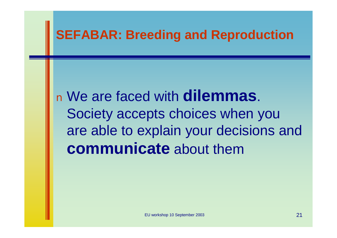#### **SEFABAR: Breeding and Reproduction**

<sup>n</sup> We are faced with **dilemmas**. Society accepts choices when you are able to explain your decisions and **communicate** about them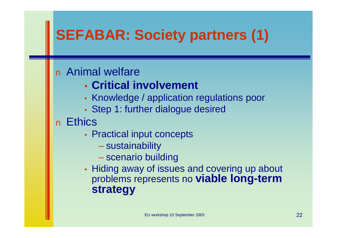## **SEFABAR: Society partners (1)**

#### n Animal welfare

- **Critical involvement**
- Knowledge / application regulations poor
- Step 1: further dialogue desired

#### n Ethics

- Practical input concepts
	- sustainability
	- scenario building
- Hiding away of issues and covering up about problems represents no **viable long-term strategy**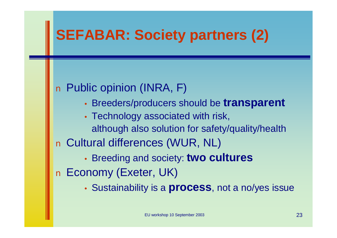### **SEFABAR: Society partners (2)**

#### n Public opinion (INRA, F)

- Breeders/producers should be **transparent**
- Technology associated with risk, although also solution for safety/quality/health n Cultural differences (WUR, NL) • Breeding and society: **two cultures**

n Economy (Exeter, UK)

• Sustainability is a **process**, not a no/yes issue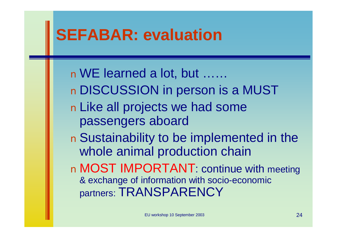## **SEFABAR: evaluation**

nWE learned a lot, but …… n DISCUSSION in person is a MUST n Like all projects we had some passengers aboard n Sustainability to be implemented in the whole animal production chain n MOST IMPORTANT: continue with meeting & exchange of information with socio-economic partners: TRANSPARENCY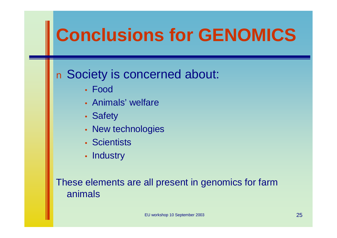# **Conclusions for GENOMICS**

#### n Society is concerned about:

- Food
- Animals' welfare
- Safety
- New technologies
- Scientists
- Industry

These elements are all present in genomics for farm animals